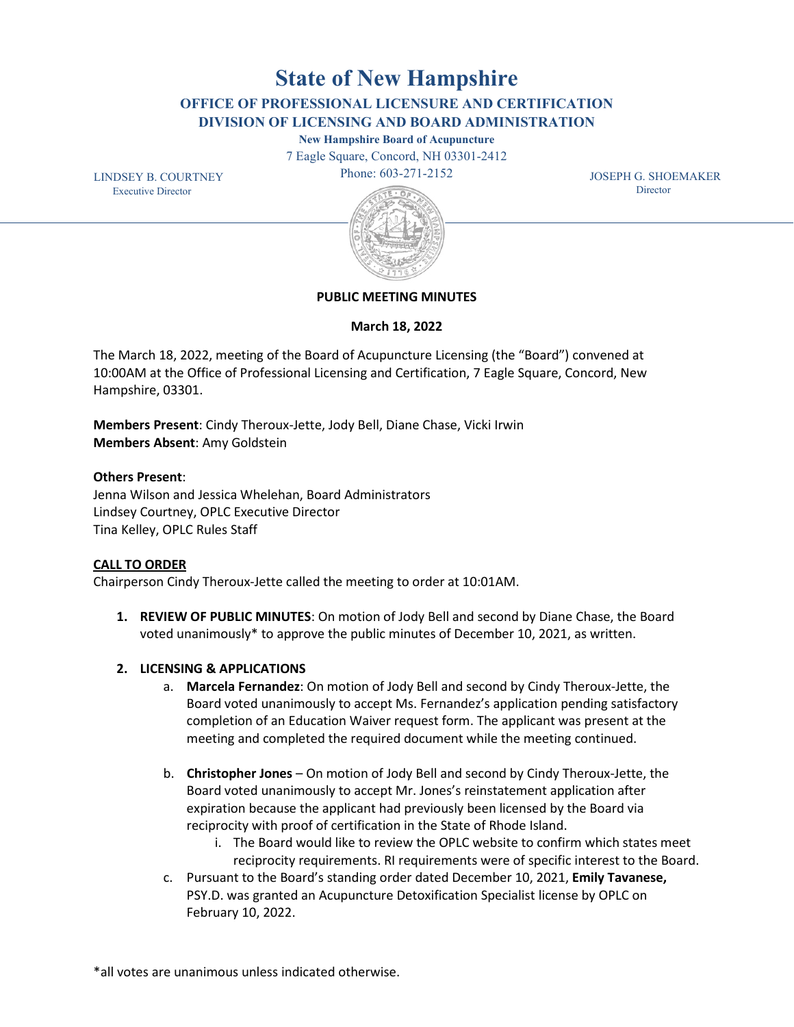February 10, 2022.

\*all votes are unanimous unless indicated otherwise.

**State of New Hampshire**

**OFFICE OF PROFESSIONAL LICENSURE AND CERTIFICATION DIVISION OF LICENSING AND BOARD ADMINISTRATION**

**New Hampshire Board of Acupuncture** 

7 Eagle Square, Concord, NH 03301-2412

Phone: 603-271-2152

 JOSEPH G. SHOEMAKER **Director** 





# **PUBLIC MEETING MINUTES**

**March 18, 2022**

The March 18, 2022, meeting of the Board of Acupuncture Licensing (the "Board") convened at 10:00AM at the Office of Professional Licensing and Certification, 7 Eagle Square, Concord, New Hampshire, 03301.

**Members Present**: Cindy Theroux-Jette, Jody Bell, Diane Chase, Vicki Irwin **Members Absent**: Amy Goldstein

## **Others Present**:

Jenna Wilson and Jessica Whelehan, Board Administrators Lindsey Courtney, OPLC Executive Director Tina Kelley, OPLC Rules Staff

# **CALL TO ORDER**

Chairperson Cindy Theroux-Jette called the meeting to order at 10:01AM.

**1. REVIEW OF PUBLIC MINUTES**: On motion of Jody Bell and second by Diane Chase, the Board voted unanimously\* to approve the public minutes of December 10, 2021, as written.

# **2. LICENSING & APPLICATIONS**

- a. **Marcela Fernandez**: On motion of Jody Bell and second by Cindy Theroux-Jette, the Board voted unanimously to accept Ms. Fernandez's application pending satisfactory completion of an Education Waiver request form. The applicant was present at the meeting and completed the required document while the meeting continued.
- b. **Christopher Jones** On motion of Jody Bell and second by Cindy Theroux-Jette, the Board voted unanimously to accept Mr. Jones's reinstatement application after expiration because the applicant had previously been licensed by the Board via reciprocity with proof of certification in the State of Rhode Island.
	- i. The Board would like to review the OPLC website to confirm which states meet reciprocity requirements. RI requirements were of specific interest to the Board.
- c. Pursuant to the Board's standing order dated December 10, 2021, **Emily Tavanese,** PSY.D. was granted an Acupuncture Detoxification Specialist license by OPLC on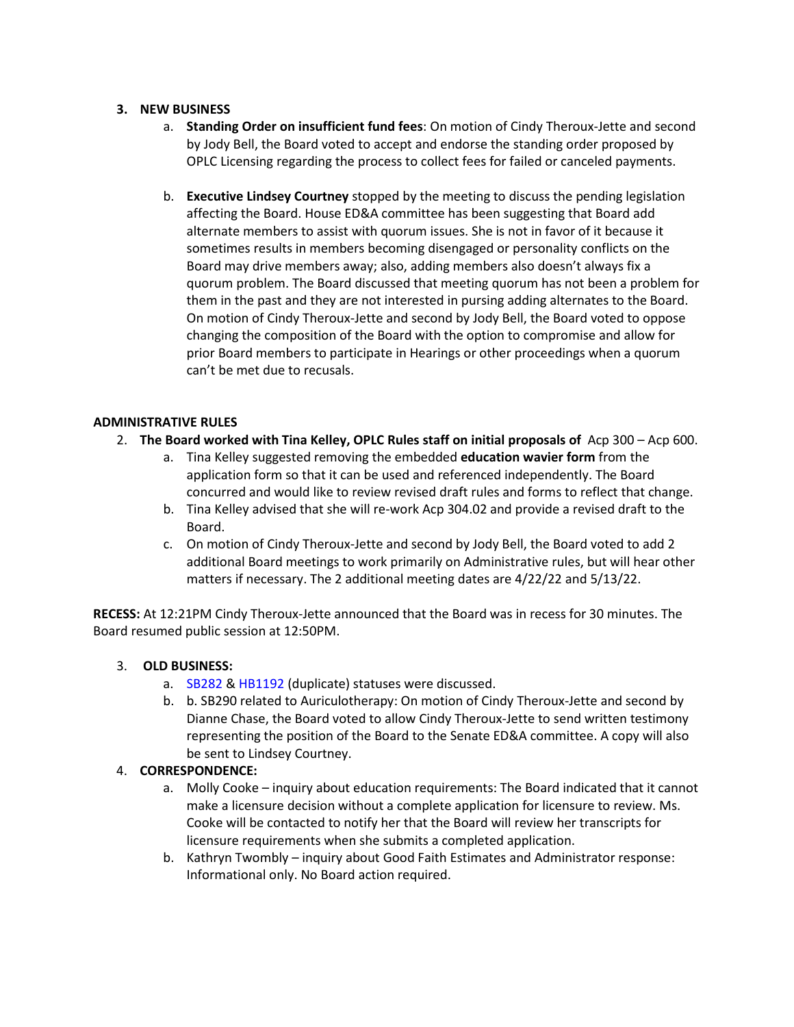## **3. NEW BUSINESS**

- a. **Standing Order on insufficient fund fees**: On motion of Cindy Theroux-Jette and second by Jody Bell, the Board voted to accept and endorse the standing order proposed by OPLC Licensing regarding the process to collect fees for failed or canceled payments.
- b. **Executive Lindsey Courtney** stopped by the meeting to discuss the pending legislation affecting the Board. House ED&A committee has been suggesting that Board add alternate members to assist with quorum issues. She is not in favor of it because it sometimes results in members becoming disengaged or personality conflicts on the Board may drive members away; also, adding members also doesn't always fix a quorum problem. The Board discussed that meeting quorum has not been a problem for them in the past and they are not interested in pursing adding alternates to the Board. On motion of Cindy Theroux-Jette and second by Jody Bell, the Board voted to oppose changing the composition of the Board with the option to compromise and allow for prior Board members to participate in Hearings or other proceedings when a quorum can't be met due to recusals.

## **ADMINISTRATIVE RULES**

- 2. **The Board worked with Tina Kelley, OPLC Rules staff on initial proposals of** Acp 300 Acp 600.
	- a. Tina Kelley suggested removing the embedded **education wavier form** from the application form so that it can be used and referenced independently. The Board concurred and would like to review revised draft rules and forms to reflect that change.
	- b. Tina Kelley advised that she will re-work Acp 304.02 and provide a revised draft to the Board.
	- c. On motion of Cindy Theroux-Jette and second by Jody Bell, the Board voted to add 2 additional Board meetings to work primarily on Administrative rules, but will hear other matters if necessary. The 2 additional meeting dates are 4/22/22 and 5/13/22.

**RECESS:** At 12:21PM Cindy Theroux-Jette announced that the Board was in recess for 30 minutes. The Board resumed public session at 12:50PM.

### 3. **OLD BUSINESS:**

- a. SB282 & HB1192 (duplicate) statuses were discussed.
- b. b. SB290 related to Auriculotherapy: On motion of Cindy Theroux-Jette and second by Dianne Chase, the Board voted to allow Cindy Theroux-Jette to send written testimony representing the position of the Board to the Senate ED&A committee. A copy will also be sent to Lindsey Courtney.

### 4. **CORRESPONDENCE:**

- a. Molly Cooke inquiry about education requirements: The Board indicated that it cannot make a licensure decision without a complete application for licensure to review. Ms. Cooke will be contacted to notify her that the Board will review her transcripts for licensure requirements when she submits a completed application.
- b. Kathryn Twombly inquiry about Good Faith Estimates and Administrator response: Informational only. No Board action required.